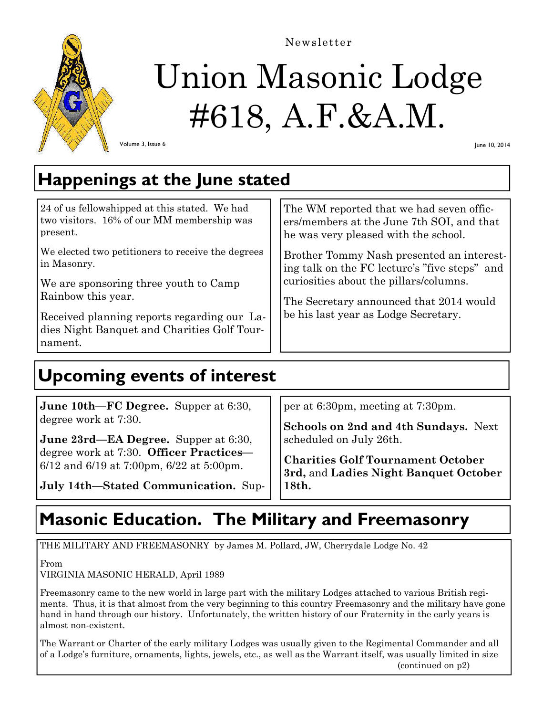

# Union Masonic Lodge #618, A.F.&A.M.

Newsletter

Volume 3, Issue 6

June 10, 2014

# **Happenings at the June stated**

| 24 of us fellowshipped at this stated. We had<br>two visitors. 16% of our MM membership was<br>present. | The WM reported that we had seven offic-<br>ers/members at the June 7th SOI, and that<br>he was very pleased with the school. |
|---------------------------------------------------------------------------------------------------------|-------------------------------------------------------------------------------------------------------------------------------|
| We elected two petitioners to receive the degrees<br>in Masonry.                                        | Brother Tommy Nash presented an interest-<br>ing talk on the FC lecture's "five steps" and                                    |
| We are sponsoring three youth to Camp                                                                   | curiosities about the pillars/columns.                                                                                        |
| Rainbow this year.                                                                                      | The Secretary announced that 2014 would                                                                                       |
| Received planning reports regarding our La-                                                             | be his last year as Lodge Secretary.                                                                                          |
| dies Night Banquet and Charities Golf Tour-                                                             |                                                                                                                               |
| nament.                                                                                                 |                                                                                                                               |

## **Upcoming events of interest**

| <b>June 10th—FC Degree.</b> Supper at 6:30,                                               | per at 6:30pm, meeting at 7:30pm.                                          |  |
|-------------------------------------------------------------------------------------------|----------------------------------------------------------------------------|--|
| degree work at 7:30.                                                                      | Schools on 2nd and 4th Sundays. Next                                       |  |
| <b>June 23rd—EA Degree.</b> Supper at 6:30,                                               | scheduled on July 26th.                                                    |  |
| degree work at 7:30. Officer Practices—<br>$6/12$ and $6/19$ at 7:00pm, $6/22$ at 5:00pm. | Charities Golf Tournament October<br>3rd, and Ladies Night Banquet October |  |
| July 14th-Stated Communication. Sup-                                                      | 18th.                                                                      |  |

# **Masonic Education. The Military and Freemasonry**

THE MILITARY AND FREEMASONRY by James M. Pollard, JW, Cherrydale Lodge No. 42

From

VIRGINIA MASONIC HERALD, April 1989

Freemasonry came to the new world in large part with the military Lodges attached to various British regiments. Thus, it is that almost from the very beginning to this country Freemasonry and the military have gone hand in hand through our history. Unfortunately, the written history of our Fraternity in the early years is almost non-existent.

The Warrant or Charter of the early military Lodges was usually given to the Regimental Commander and all of a Lodge's furniture, ornaments, lights, jewels, etc., as well as the Warrant itself, was usually limited in size (continued on p2)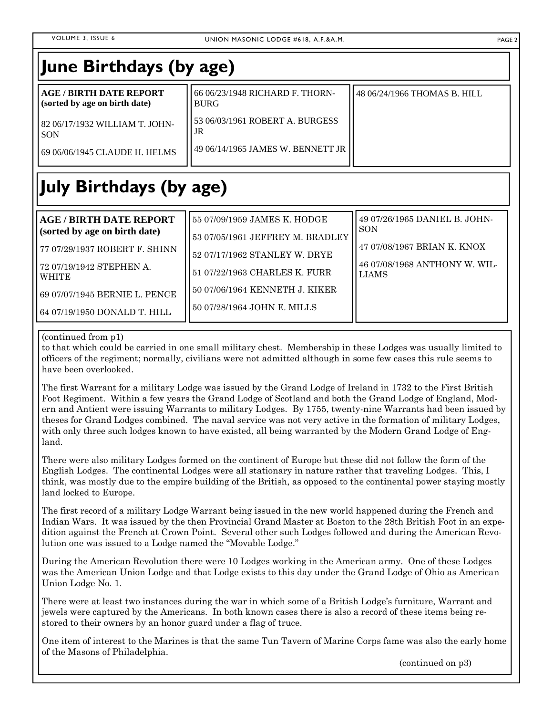| <b>AGE / BIRTH DATE REPORT</b><br>66 06/23/1948 RICHARD F. THORN-<br>48 06/24/1966 THOMAS B. HILL<br>(sorted by age on birth date)<br><b>BURG</b><br>53 06/03/1961 ROBERT A. BURGESS<br>82 06/17/1932 WILLIAM T. JOHN-<br>JR<br><b>SON</b><br>49 06/14/1965 JAMES W. BENNETT JR<br>69 06/06/1945 CLAUDE H. HELMS<br>49 07/26/1965 DANIEL B. JOHN-<br><b>AGE / BIRTH DATE REPORT</b><br>55 07/09/1959 JAMES K. HODGE<br><b>SON</b><br>(sorted by age on birth date)<br>53 07/05/1961 JEFFREY M. BRADLEY<br>47 07/08/1967 BRIAN K. KNOX<br>52 07/17/1962 STANLEY W. DRYE<br>46 07/08/1968 ANTHONY W. WIL-<br>51 07/22/1963 CHARLES K. FURR<br><b>LIAMS</b> | June Birthdays (by age) |  |  |  |  |
|----------------------------------------------------------------------------------------------------------------------------------------------------------------------------------------------------------------------------------------------------------------------------------------------------------------------------------------------------------------------------------------------------------------------------------------------------------------------------------------------------------------------------------------------------------------------------------------------------------------------------------------------------------|-------------------------|--|--|--|--|
|                                                                                                                                                                                                                                                                                                                                                                                                                                                                                                                                                                                                                                                          |                         |  |  |  |  |
|                                                                                                                                                                                                                                                                                                                                                                                                                                                                                                                                                                                                                                                          |                         |  |  |  |  |
| 77 07/29/1937 ROBERT F. SHINN<br>  72 07/19/1942 STEPHEN A.                                                                                                                                                                                                                                                                                                                                                                                                                                                                                                                                                                                              | July Birthdays (by age) |  |  |  |  |
|                                                                                                                                                                                                                                                                                                                                                                                                                                                                                                                                                                                                                                                          |                         |  |  |  |  |
|                                                                                                                                                                                                                                                                                                                                                                                                                                                                                                                                                                                                                                                          |                         |  |  |  |  |
|                                                                                                                                                                                                                                                                                                                                                                                                                                                                                                                                                                                                                                                          | <b>WHITE</b>            |  |  |  |  |
| 50 07/06/1964 KENNETH J. KIKER<br>69 07/07/1945 BERNIE L. PENCE<br>50 07/28/1964 JOHN E. MILLS                                                                                                                                                                                                                                                                                                                                                                                                                                                                                                                                                           |                         |  |  |  |  |

## (continued from p1)

64 07/19/1950 DONALD T. HILL

to that which could be carried in one small military chest. Membership in these Lodges was usually limited to officers of the regiment; normally, civilians were not admitted although in some few cases this rule seems to have been overlooked.

The first Warrant for a military Lodge was issued by the Grand Lodge of Ireland in 1732 to the First British Foot Regiment. Within a few years the Grand Lodge of Scotland and both the Grand Lodge of England, Modern and Antient were issuing Warrants to military Lodges. By 1755, twenty-nine Warrants had been issued by theses for Grand Lodges combined. The naval service was not very active in the formation of military Lodges, with only three such lodges known to have existed, all being warranted by the Modern Grand Lodge of England.

There were also military Lodges formed on the continent of Europe but these did not follow the form of the English Lodges. The continental Lodges were all stationary in nature rather that traveling Lodges. This, I think, was mostly due to the empire building of the British, as opposed to the continental power staying mostly land locked to Europe.

The first record of a military Lodge Warrant being issued in the new world happened during the French and Indian Wars. It was issued by the then Provincial Grand Master at Boston to the 28th British Foot in an expedition against the French at Crown Point. Several other such Lodges followed and during the American Revolution one was issued to a Lodge named the "Movable Lodge."

During the American Revolution there were 10 Lodges working in the American army. One of these Lodges was the American Union Lodge and that Lodge exists to this day under the Grand Lodge of Ohio as American Union Lodge No. 1.

There were at least two instances during the war in which some of a British Lodge's furniture, Warrant and jewels were captured by the Americans. In both known cases there is also a record of these items being restored to their owners by an honor guard under a flag of truce.

One item of interest to the Marines is that the same Tun Tavern of Marine Corps fame was also the early home of the Masons of Philadelphia.

(continued on p3)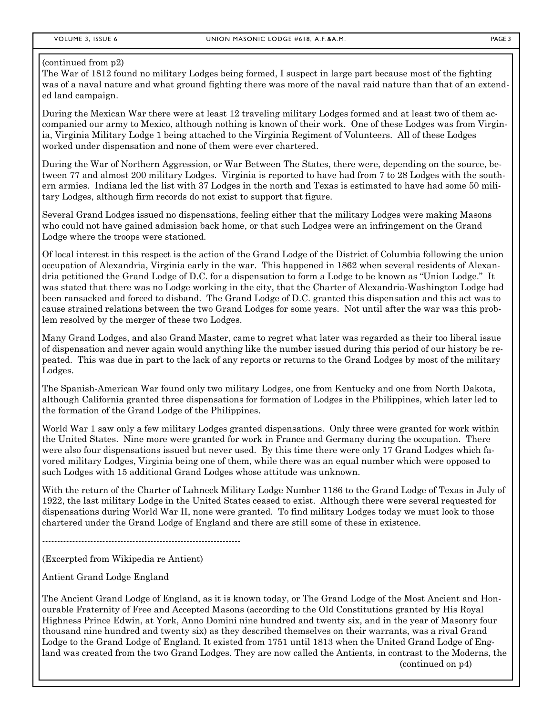## (continued from p2)

The War of 1812 found no military Lodges being formed, I suspect in large part because most of the fighting was of a naval nature and what ground fighting there was more of the naval raid nature than that of an extended land campaign.

During the Mexican War there were at least 12 traveling military Lodges formed and at least two of them accompanied our army to Mexico, although nothing is known of their work. One of these Lodges was from Virginia, Virginia Military Lodge 1 being attached to the Virginia Regiment of Volunteers. All of these Lodges worked under dispensation and none of them were ever chartered.

During the War of Northern Aggression, or War Between The States, there were, depending on the source, between 77 and almost 200 military Lodges. Virginia is reported to have had from 7 to 28 Lodges with the southern armies. Indiana led the list with 37 Lodges in the north and Texas is estimated to have had some 50 military Lodges, although firm records do not exist to support that figure.

Several Grand Lodges issued no dispensations, feeling either that the military Lodges were making Masons who could not have gained admission back home, or that such Lodges were an infringement on the Grand Lodge where the troops were stationed.

Of local interest in this respect is the action of the Grand Lodge of the District of Columbia following the union occupation of Alexandria, Virginia early in the war. This happened in 1862 when several residents of Alexandria petitioned the Grand Lodge of D.C. for a dispensation to form a Lodge to be known as "Union Lodge." It was stated that there was no Lodge working in the city, that the Charter of Alexandria-Washington Lodge had been ransacked and forced to disband. The Grand Lodge of D.C. granted this dispensation and this act was to cause strained relations between the two Grand Lodges for some years. Not until after the war was this problem resolved by the merger of these two Lodges.

Many Grand Lodges, and also Grand Master, came to regret what later was regarded as their too liberal issue of dispensation and never again would anything like the number issued during this period of our history be repeated. This was due in part to the lack of any reports or returns to the Grand Lodges by most of the military Lodges.

The Spanish-American War found only two military Lodges, one from Kentucky and one from North Dakota, although California granted three dispensations for formation of Lodges in the Philippines, which later led to the formation of the Grand Lodge of the Philippines.

World War 1 saw only a few military Lodges granted dispensations. Only three were granted for work within the United States. Nine more were granted for work in France and Germany during the occupation. There were also four dispensations issued but never used. By this time there were only 17 Grand Lodges which favored military Lodges, Virginia being one of them, while there was an equal number which were opposed to such Lodges with 15 additional Grand Lodges whose attitude was unknown.

With the return of the Charter of Lahneck Military Lodge Number 1186 to the Grand Lodge of Texas in July of 1922, the last military Lodge in the United States ceased to exist. Although there were several requested for dispensations during World War II, none were granted. To find military Lodges today we must look to those chartered under the Grand Lodge of England and there are still some of these in existence.

------------------------------------------------------------------

(Excerpted from Wikipedia re Antient)

Antient Grand Lodge England

The Ancient Grand Lodge of England, as it is known today, or The Grand Lodge of the Most Ancient and Honourable Fraternity of Free and Accepted Masons (according to the Old Constitutions granted by His Royal Highness Prince Edwin, at York, Anno Domini nine hundred and twenty six, and in the year of Masonry four thousand nine hundred and twenty six) as they described themselves on their warrants, was a rival Grand Lodge to the Grand Lodge of England. It existed from 1751 until 1813 when the United Grand Lodge of England was created from the two Grand Lodges. They are now called the Antients, in contrast to the Moderns, the (continued on p4)